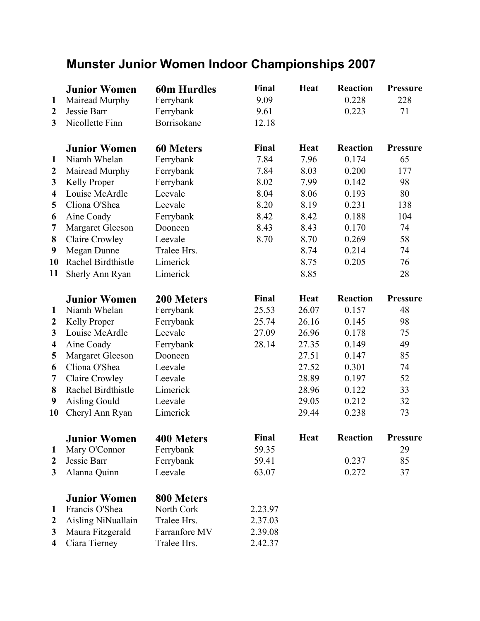## Munster Junior Women Indoor Championships 2007

|                         | <b>Junior Women</b>     | <b>60m Hurdles</b> | Final   | Heat        | <b>Reaction</b> | <b>Pressure</b> |
|-------------------------|-------------------------|--------------------|---------|-------------|-----------------|-----------------|
| 1                       | Mairead Murphy          | Ferrybank          | 9.09    |             | 0.228           | 228             |
| $\boldsymbol{2}$        | Jessie Barr             | Ferrybank          | 9.61    |             | 0.223           | 71              |
| $\overline{\mathbf{3}}$ | Nicollette Finn         | Borrisokane        | 12.18   |             |                 |                 |
|                         | <b>Junior Women</b>     | <b>60 Meters</b>   | Final   | <b>Heat</b> | <b>Reaction</b> | <b>Pressure</b> |
| 1                       | Niamh Whelan            | Ferrybank          | 7.84    | 7.96        | 0.174           | 65              |
| $\mathbf 2$             | Mairead Murphy          | Ferrybank          | 7.84    | 8.03        | 0.200           | 177             |
| 3                       | <b>Kelly Proper</b>     | Ferrybank          | 8.02    | 7.99        | 0.142           | 98              |
| 4                       | Louise McArdle          | Leevale            | 8.04    | 8.06        | 0.193           | 80              |
| 5                       | Cliona O'Shea           | Leevale            | 8.20    | 8.19        | 0.231           | 138             |
| 6                       | Aine Coady              | Ferrybank          | 8.42    | 8.42        | 0.188           | 104             |
| 7                       | <b>Margaret Gleeson</b> | Dooneen            | 8.43    | 8.43        | 0.170           | 74              |
| 8                       | Claire Crowley          | Leevale            | 8.70    | 8.70        | 0.269           | 58              |
| $\boldsymbol{9}$        | Megan Dunne             | Tralee Hrs.        |         | 8.74        | 0.214           | 74              |
| 10                      | Rachel Birdthistle      | Limerick           |         | 8.75        | 0.205           | 76              |
| 11                      | Sherly Ann Ryan         | Limerick           |         | 8.85        |                 | 28              |
|                         | <b>Junior Women</b>     | 200 Meters         | Final   | Heat        | <b>Reaction</b> | <b>Pressure</b> |
| 1                       | Niamh Whelan            | Ferrybank          | 25.53   | 26.07       | 0.157           | 48              |
| 2                       | <b>Kelly Proper</b>     | Ferrybank          | 25.74   | 26.16       | 0.145           | 98              |
| 3                       | Louise McArdle          | Leevale            | 27.09   | 26.96       | 0.178           | 75              |
| 4                       | Aine Coady              | Ferrybank          | 28.14   | 27.35       | 0.149           | 49              |
| 5                       | Margaret Gleeson        | Dooneen            |         | 27.51       | 0.147           | 85              |
| 6                       | Cliona O'Shea           | Leevale            |         | 27.52       | 0.301           | 74              |
| 7                       | Claire Crowley          | Leevale            |         | 28.89       | 0.197           | 52              |
| 8                       | Rachel Birdthistle      | Limerick           |         | 28.96       | 0.122           | 33              |
| $\boldsymbol{9}$        | <b>Aisling Gould</b>    | Leevale            |         | 29.05       | 0.212           | 32              |
| 10                      | Cheryl Ann Ryan         | Limerick           |         | 29.44       | 0.238           | 73              |
|                         | <b>Junior Women</b>     | <b>400 Meters</b>  | Final   | <b>Heat</b> | <b>Reaction</b> | <b>Pressure</b> |
| 1                       | Mary O'Connor           | Ferrybank          | 59.35   |             |                 | 29              |
| 2                       | Jessie Barr             | Ferrybank          | 59.41   |             | 0.237           | 85              |
| 3                       | Alanna Quinn            | Leevale            | 63.07   |             | 0.272           | 37              |
|                         | <b>Junior Women</b>     | 800 Meters         |         |             |                 |                 |
| 1                       | Francis O'Shea          | North Cork         | 2.23.97 |             |                 |                 |
| $\boldsymbol{2}$        | Aisling NiNuallain      | Tralee Hrs.        | 2.37.03 |             |                 |                 |
| 3                       | Maura Fitzgerald        | Farranfore MV      | 2.39.08 |             |                 |                 |
| $\overline{\mathbf{4}}$ | Ciara Tierney           | Tralee Hrs.        | 2.42.37 |             |                 |                 |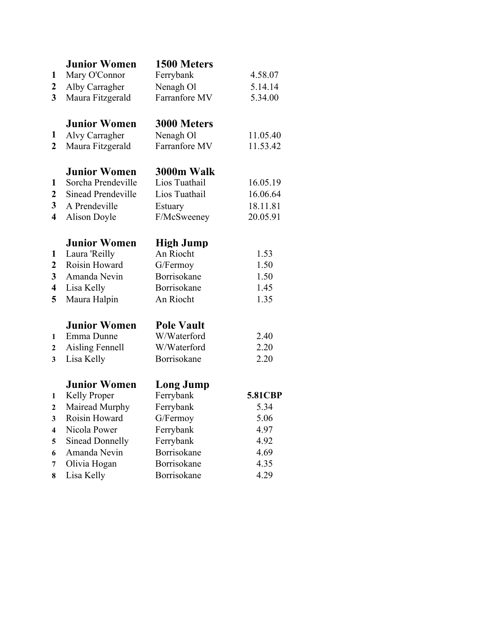|                         | <b>Junior Women</b>    | 1500 Meters        |                |
|-------------------------|------------------------|--------------------|----------------|
| 1                       | Mary O'Connor          | Ferrybank          | 4.58.07        |
| $\boldsymbol{2}$        | Alby Carragher         | Nenagh Ol          | 5.14.14        |
| 3                       | Maura Fitzgerald       | Farranfore MV      | 5.34.00        |
|                         | <b>Junior Women</b>    | <b>3000 Meters</b> |                |
| 1                       | Alvy Carragher         | Nenagh Ol          | 11.05.40       |
| $\boldsymbol{2}$        | Maura Fitzgerald       | Farranfore MV      | 11.53.42       |
|                         | <b>Junior Women</b>    | 3000m Walk         |                |
| 1                       | Sorcha Prendeville     | Lios Tuathail      | 16.05.19       |
| $\boldsymbol{2}$        | Sinead Prendeville     | Lios Tuathail      | 16.06.64       |
| 3                       | A Prendeville          | Estuary            | 18.11.81       |
| $\overline{\mathbf{4}}$ | Alison Doyle           | F/McSweeney        | 20.05.91       |
|                         | <b>Junior Women</b>    | <b>High Jump</b>   |                |
| 1                       | Laura 'Reilly          | An Riocht          | 1.53           |
| $\boldsymbol{2}$        | Roisin Howard          | G/Fermoy           | 1.50           |
| $\overline{\mathbf{3}}$ | Amanda Nevin           | Borrisokane        | 1.50           |
| $\overline{\mathbf{4}}$ | Lisa Kelly             | Borrisokane        | 1.45           |
| 5                       | Maura Halpin           | An Riocht          | 1.35           |
|                         | <b>Junior Women</b>    | <b>Pole Vault</b>  |                |
| $\mathbf{1}$            | Emma Dunne             | W/Waterford        | 2.40           |
| $\mathbf{2}$            | <b>Aisling Fennell</b> | W/Waterford        | 2.20           |
| $\overline{\mathbf{3}}$ | Lisa Kelly             | Borrisokane        | 2.20           |
|                         | <b>Junior Women</b>    | Long Jump          |                |
| 1                       | <b>Kelly Proper</b>    | Ferrybank          | <b>5.81CBP</b> |
| $\mathbf{2}$            | Mairead Murphy         | Ferrybank          | 5.34           |
| 3                       | Roisin Howard          | G/Fermoy           | 5.06           |
| $\overline{\mathbf{4}}$ | Nicola Power           | Ferrybank          | 4.97           |
| 5                       | <b>Sinead Donnelly</b> | Ferrybank          | 4.92           |
| 6                       | Amanda Nevin           | Borrisokane        | 4.69           |
| 7                       | Olivia Hogan           | Borrisokane        | 4.35           |
| 8                       | Lisa Kelly             | Borrisokane        | 4.29           |